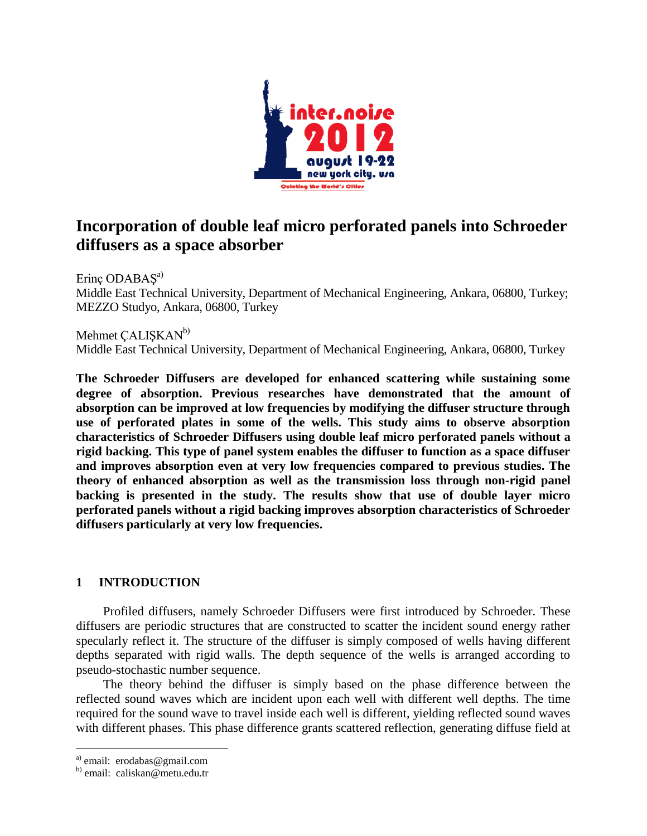

# **Incorporation of double leaf micro perforated panels into Schroeder diffusers as a space absorber**

Erinç ODABAS<sup>a)</sup> Middle East Technical University, Department of Mechanical Engineering, Ankara, 06800, Turkey; MEZZO Studyo, Ankara, 06800, Turkey

Mehmet CALISKAN<sup>b)</sup> Middle East Technical University, Department of Mechanical Engineering, Ankara, 06800, Turkey

**The Schroeder Diffusers are developed for enhanced scattering while sustaining some degree of absorption. Previous researches have demonstrated that the amount of absorption can be improved at low frequencies by modifying the diffuser structure through use of perforated plates in some of the wells. This study aims to observe absorption characteristics of Schroeder Diffusers using double leaf micro perforated panels without a rigid backing. This type of panel system enables the diffuser to function as a space diffuser and improves absorption even at very low frequencies compared to previous studies. The theory of enhanced absorption as well as the transmission loss through non-rigid panel backing is presented in the study. The results show that use of double layer micro perforated panels without a rigid backing improves absorption characteristics of Schroeder diffusers particularly at very low frequencies.**

# **1 INTRODUCTION**

Profiled diffusers, namely Schroeder Diffusers were first introduced by Schroeder. These diffusers are periodic structures that are constructed to scatter the incident sound energy rather specularly reflect it. The structure of the diffuser is simply composed of wells having different depths separated with rigid walls. The depth sequence of the wells is arranged according to pseudo-stochastic number sequence.

The theory behind the diffuser is simply based on the phase difference between the reflected sound waves which are incident upon each well with different well depths. The time required for the sound wave to travel inside each well is different, yielding reflected sound waves with different phases. This phase difference grants scattered reflection, generating diffuse field at

 $\overline{a}$ 

a) email: erodabas@gmail.com

b) email: caliskan@metu.edu.tr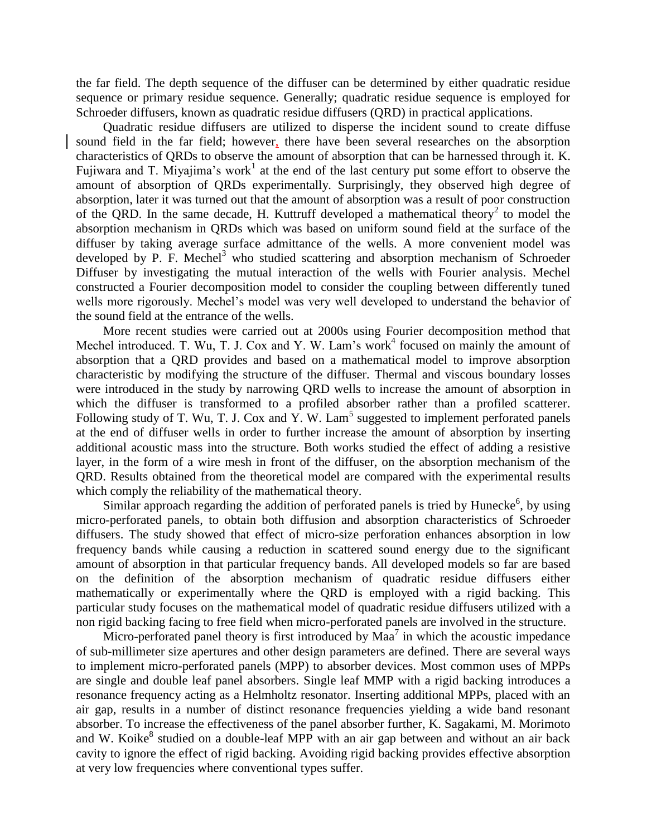the far field. The depth sequence of the diffuser can be determined by either quadratic residue sequence or primary residue sequence. Generally; quadratic residue sequence is employed for Schroeder diffusers, known as quadratic residue diffusers (QRD) in practical applications.

Quadratic residue diffusers are utilized to disperse the incident sound to create diffuse sound field in the far field; however, there have been several researches on the absorption characteristics of QRDs to observe the amount of absorption that can be harnessed through it. K. Fujiwara and T. Miyajima's work<sup>1</sup> at the end of the last century put some effort to observe the amount of absorption of QRDs experimentally. Surprisingly, they observed high degree of absorption, later it was turned out that the amount of absorption was a result of poor construction of the QRD. In the same decade, H. Kuttruff developed a mathematical theory<sup>2</sup> to model the absorption mechanism in QRDs which was based on uniform sound field at the surface of the diffuser by taking average surface admittance of the wells. A more convenient model was developed by P. F. Mechel<sup>3</sup> who studied scattering and absorption mechanism of Schroeder Diffuser by investigating the mutual interaction of the wells with Fourier analysis. Mechel constructed a Fourier decomposition model to consider the coupling between differently tuned wells more rigorously. Mechel's model was very well developed to understand the behavior of the sound field at the entrance of the wells.

More recent studies were carried out at 2000s using Fourier decomposition method that Mechel introduced. T. Wu, T. J. Cox and Y. W. Lam's work<sup>4</sup> focused on mainly the amount of absorption that a QRD provides and based on a mathematical model to improve absorption characteristic by modifying the structure of the diffuser. Thermal and viscous boundary losses were introduced in the study by narrowing QRD wells to increase the amount of absorption in which the diffuser is transformed to a profiled absorber rather than a profiled scatterer. Following study of T. Wu, T. J. Cox and Y. W. Lam<sup>5</sup> suggested to implement perforated panels at the end of diffuser wells in order to further increase the amount of absorption by inserting additional acoustic mass into the structure. Both works studied the effect of adding a resistive layer, in the form of a wire mesh in front of the diffuser, on the absorption mechanism of the QRD. Results obtained from the theoretical model are compared with the experimental results which comply the reliability of the mathematical theory.

Similar approach regarding the addition of perforated panels is tried by Hunecke<sup>6</sup>, by using micro-perforated panels, to obtain both diffusion and absorption characteristics of Schroeder diffusers. The study showed that effect of micro-size perforation enhances absorption in low frequency bands while causing a reduction in scattered sound energy due to the significant amount of absorption in that particular frequency bands. All developed models so far are based on the definition of the absorption mechanism of quadratic residue diffusers either mathematically or experimentally where the QRD is employed with a rigid backing. This particular study focuses on the mathematical model of quadratic residue diffusers utilized with a non rigid backing facing to free field when micro-perforated panels are involved in the structure.

Micro-perforated panel theory is first introduced by  $Maa^7$  in which the acoustic impedance of sub-millimeter size apertures and other design parameters are defined. There are several ways to implement micro-perforated panels (MPP) to absorber devices. Most common uses of MPPs are single and double leaf panel absorbers. Single leaf MMP with a rigid backing introduces a resonance frequency acting as a Helmholtz resonator. Inserting additional MPPs, placed with an air gap, results in a number of distinct resonance frequencies yielding a wide band resonant absorber. To increase the effectiveness of the panel absorber further, K. Sagakami, M. Morimoto and W. Koike $<sup>8</sup>$  studied on a double-leaf MPP with an air gap between and without an air back</sup> cavity to ignore the effect of rigid backing. Avoiding rigid backing provides effective absorption at very low frequencies where conventional types suffer.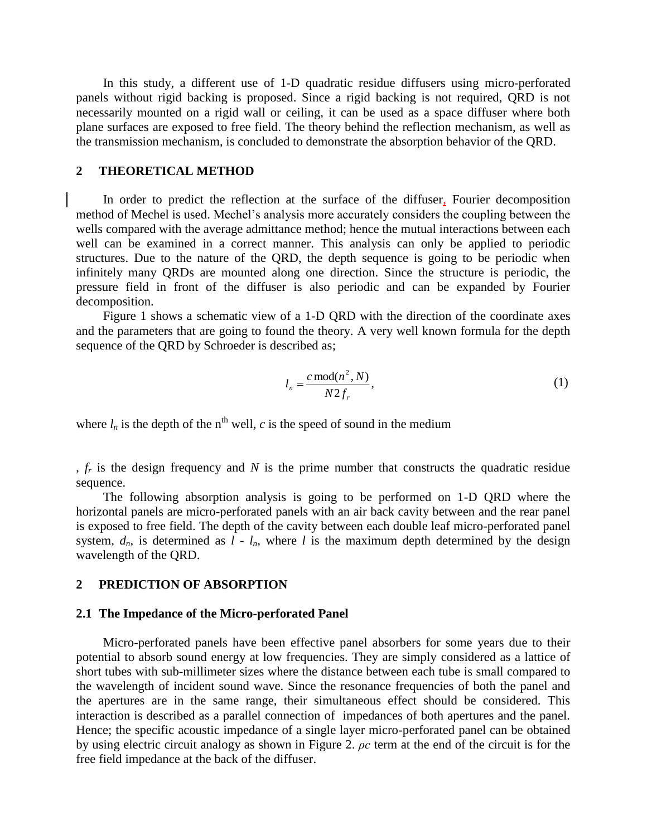In this study, a different use of 1-D quadratic residue diffusers using micro-perforated panels without rigid backing is proposed. Since a rigid backing is not required, QRD is not necessarily mounted on a rigid wall or ceiling, it can be used as a space diffuser where both plane surfaces are exposed to free field. The theory behind the reflection mechanism, as well as the transmission mechanism, is concluded to demonstrate the absorption behavior of the QRD.

#### **2 THEORETICAL METHOD**

In order to predict the reflection at the surface of the diffuser, Fourier decomposition method of Mechel is used. Mechel's analysis more accurately considers the coupling between the wells compared with the average admittance method; hence the mutual interactions between each well can be examined in a correct manner. This analysis can only be applied to periodic structures. Due to the nature of the QRD, the depth sequence is going to be periodic when infinitely many QRDs are mounted along one direction. Since the structure is periodic, the pressure field in front of the diffuser is also periodic and can be expanded by Fourier decomposition.

Figure 1 shows a schematic view of a 1-D QRD with the direction of the coordinate axes and the parameters that are going to found the theory. A very well known formula for the depth sequence of the QRD by Schroeder is described as;

$$
l_n = \frac{c \operatorname{mod}(n^2, N)}{N 2 f_r},\tag{1}
$$

where  $l_n$  is the depth of the n<sup>th</sup> well, *c* is the speed of sound in the medium

, *f<sup>r</sup>* is the design frequency and *N* is the prime number that constructs the quadratic residue sequence.

The following absorption analysis is going to be performed on 1-D QRD where the horizontal panels are micro-perforated panels with an air back cavity between and the rear panel is exposed to free field. The depth of the cavity between each double leaf micro-perforated panel system,  $d_n$ , is determined as  $l - l_n$ , where l is the maximum depth determined by the design wavelength of the QRD.

#### **2 PREDICTION OF ABSORPTION**

#### **2.1 The Impedance of the Micro-perforated Panel**

Micro-perforated panels have been effective panel absorbers for some years due to their potential to absorb sound energy at low frequencies. They are simply considered as a lattice of short tubes with sub-millimeter sizes where the distance between each tube is small compared to the wavelength of incident sound wave. Since the resonance frequencies of both the panel and the apertures are in the same range, their simultaneous effect should be considered. This interaction is described as a parallel connection of impedances of both apertures and the panel. Hence; the specific acoustic impedance of a single layer micro-perforated panel can be obtained by using electric circuit analogy as shown in Figure 2. *ρc* term at the end of the circuit is for the free field impedance at the back of the diffuser.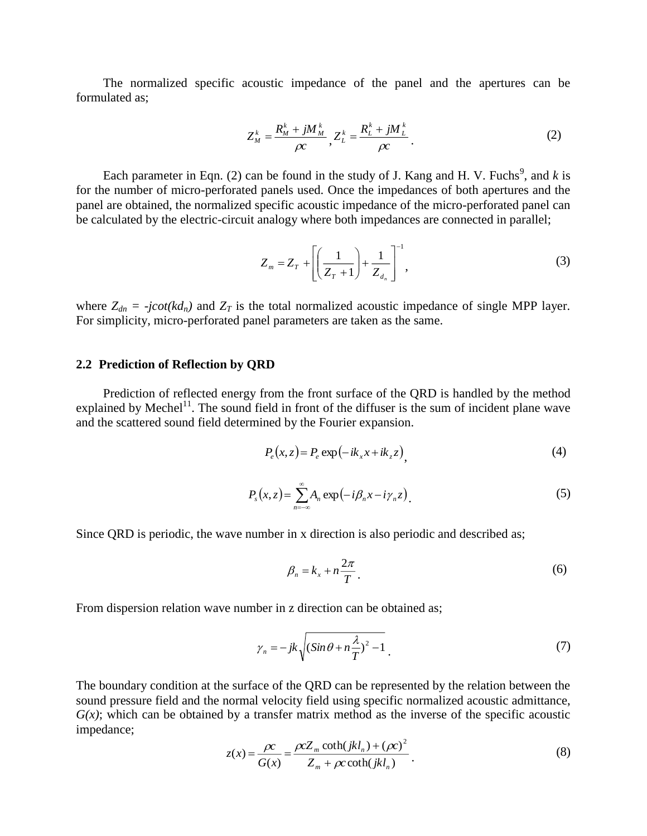The normalized specific acoustic impedance of the panel and the apertures can be formulated as;

$$
Z_M^k = \frac{R_M^k + jM_M^k}{\rho c}, Z_L^k = \frac{R_L^k + jM_L^k}{\rho c}.
$$
 (2)

Each parameter in Eqn. (2) can be found in the study of J. Kang and H. V. Fuchs<sup>9</sup>, and  $k$  is for the number of micro-perforated panels used. Once the impedances of both apertures and the panel are obtained, the normalized specific acoustic impedance of the micro-perforated panel can be calculated by the electric-circuit analogy where both impedances are connected in parallel;

$$
Z_m = Z_T + \left[ \left( \frac{1}{Z_T + 1} \right) + \frac{1}{Z_{d_n}} \right]^{-1},
$$
\n(3)

where  $Z_{dn} = -j\cot(kd_n)$  and  $Z_T$  is the total normalized acoustic impedance of single MPP layer. For simplicity, micro-perforated panel parameters are taken as the same.

#### **2.2 Prediction of Reflection by QRD**

Prediction of reflected energy from the front surface of the QRD is handled by the method explained by Mechel<sup>11</sup>. The sound field in front of the diffuser is the sum of incident plane wave and the scattered sound field determined by the Fourier expansion.

$$
P_e(x, z) = P_e \exp(-ik_x x + ik_z z), \qquad (4)
$$

$$
P_s(x,z) = \sum_{n=-\infty}^{\infty} A_n \exp(-i\beta_n x - i\gamma_n z).
$$
 (5)

Since QRD is periodic, the wave number in x direction is also periodic and described as;

$$
\beta_n = k_x + n \frac{2\pi}{T} \tag{6}
$$

From dispersion relation wave number in z direction can be obtained as;

$$
\gamma_n = -jk \sqrt{(Sin\theta + n\frac{\lambda}{T})^2 - 1} \tag{7}
$$

The boundary condition at the surface of the QRD can be represented by the relation between the sound pressure field and the normal velocity field using specific normalized acoustic admittance,  $G(x)$ ; which can be obtained by a transfer matrix method as the inverse of the specific acoustic impedance;

$$
z(x) = \frac{\rho c}{G(x)} = \frac{\rho c Z_m \coth(jkl_n) + (\rho c)^2}{Z_m + \rho c \coth(jkl_n)}.
$$
 (8)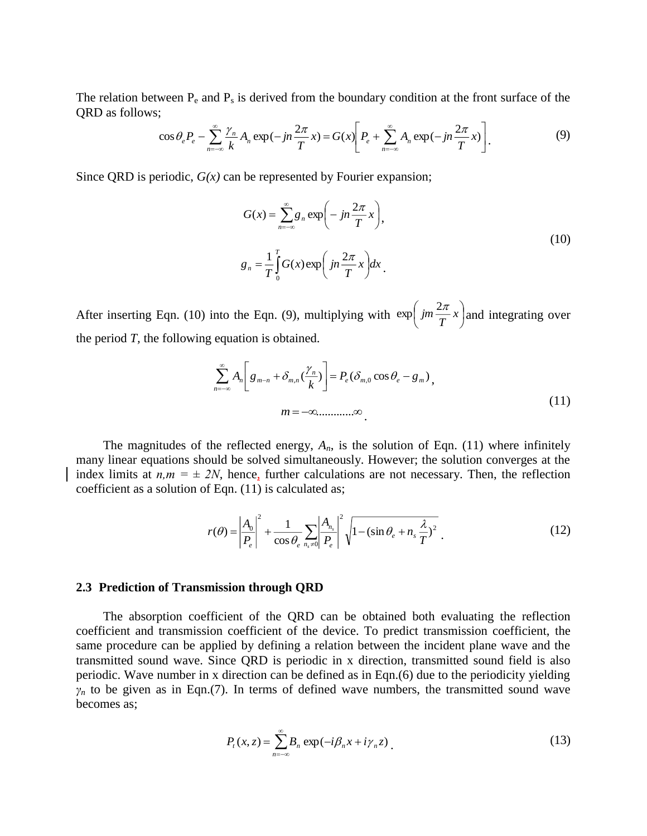The relation between  $P_e$  and  $P_s$  is derived from the boundary condition at the front surface of the QRD as follows;

$$
\cos \theta_e P_e - \sum_{n=-\infty}^{\infty} \frac{\gamma_n}{k} A_n \exp(-jn\frac{2\pi}{T}x) = G(x) \bigg[ P_e + \sum_{n=-\infty}^{\infty} A_n \exp(-jn\frac{2\pi}{T}x) \bigg].
$$
 (9)

Since QRD is periodic, *G(x)* can be represented by Fourier expansion;

$$
G(x) = \sum_{n=-\infty}^{\infty} g_n \exp\left(-jn\frac{2\pi}{T}x\right),
$$
  

$$
g_n = \frac{1}{T} \int_0^T G(x) \exp\left(jn\frac{2\pi}{T}x\right) dx.
$$
 (10)

After inserting Eqn. (10) into the Eqn. (9), multiplying with  $\exp\left(jm\frac{2\pi}{T}x\right)$  $\left(\frac{2\pi}{jm}x\right)$ l  $\exp\left(im\frac{2\pi}{T}x\right)$  and integrating over the period *T,* the following equation is obtained.

$$
\sum_{n=-\infty}^{\infty} A_n \left[ g_{m-n} + \delta_{m,n} \left( \frac{\gamma_n}{k} \right) \right] = P_e(\delta_{m,0} \cos \theta_e - g_m),
$$
\n
$$
m = -\infty, \dots, \infty
$$
\n(11)

The magnitudes of the reflected energy,  $A_n$ , is the solution of Eqn. (11) where infinitely many linear equations should be solved simultaneously. However; the solution converges at the index limits at  $n,m = \pm 2N$ , hence, further calculations are not necessary. Then, the reflection coefficient as a solution of Eqn. (11) is calculated as;

$$
r(\theta) = \left| \frac{A_0}{P_e} \right|^2 + \frac{1}{\cos \theta_e} \sum_{n_s \neq 0} \left| \frac{A_{n_s}}{P_e} \right|^2 \sqrt{1 - (\sin \theta_e + n_s \frac{\lambda}{T})^2} \tag{12}
$$

#### **2.3 Prediction of Transmission through QRD**

The absorption coefficient of the QRD can be obtained both evaluating the reflection coefficient and transmission coefficient of the device. To predict transmission coefficient, the same procedure can be applied by defining a relation between the incident plane wave and the transmitted sound wave. Since QRD is periodic in x direction, transmitted sound field is also periodic. Wave number in x direction can be defined as in Eqn.(6) due to the periodicity yielding  $\gamma_n$  to be given as in Eqn.(7). In terms of defined wave numbers, the transmitted sound wave becomes as;

$$
P_t(x, z) = \sum_{n=-\infty}^{\infty} B_n \exp(-i\beta_n x + i\gamma_n z).
$$
 (13)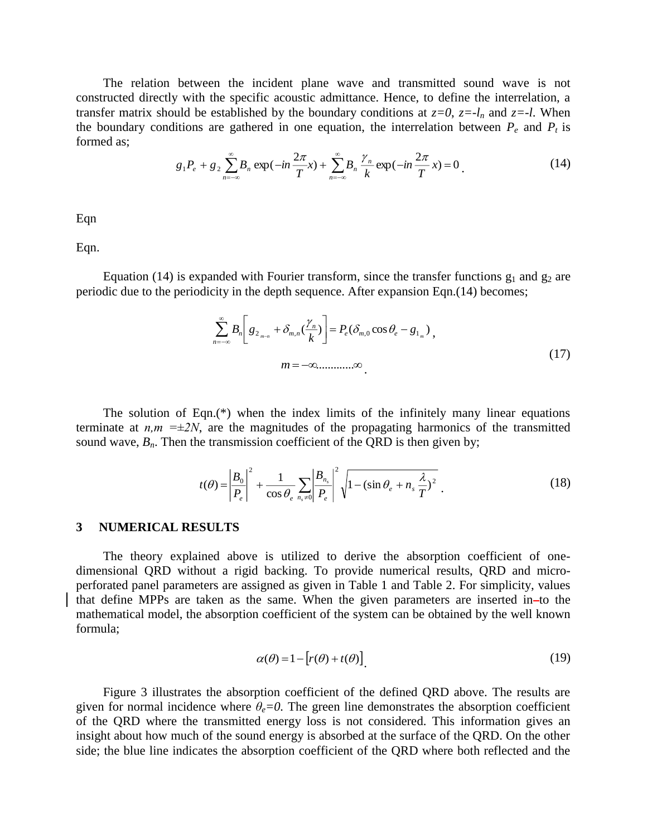The relation between the incident plane wave and transmitted sound wave is not constructed directly with the specific acoustic admittance. Hence, to define the interrelation, a transfer matrix should be established by the boundary conditions at  $z=0$ ,  $z=-l_n$  and  $z=-l$ . When the boundary conditions are gathered in one equation, the interrelation between  $P_e$  and  $P_t$  is formed as;

$$
g_1 P_e + g_2 \sum_{n=-\infty}^{\infty} B_n \exp(-in\frac{2\pi}{T}x) + \sum_{n=-\infty}^{\infty} B_n \frac{\gamma_n}{k} \exp(-in\frac{2\pi}{T}x) = 0
$$
 (14)

Eqn

Eqn.

Equation (14) is expanded with Fourier transform, since the transfer functions  $g_1$  and  $g_2$  are periodic due to the periodicity in the depth sequence. After expansion Eqn.(14) becomes;

$$
\sum_{n=-\infty}^{\infty} B_n \left[ g_{2_{m-n}} + \delta_{m,n} \left( \frac{\gamma_n}{k} \right) \right] = P_e(\delta_{m,0} \cos \theta_e - g_{1_m}),
$$
\n
$$
m = -\infty \dots \dots \infty.
$$
\n(17)

The solution of Eqn.(\*) when the index limits of the infinitely many linear equations terminate at  $n,m = \pm 2N$ , are the magnitudes of the propagating harmonics of the transmitted sound wave,  $B_n$ . Then the transmission coefficient of the QRD is then given by;

$$
t(\theta) = \left| \frac{B_0}{P_e} \right|^2 + \frac{1}{\cos \theta_e} \sum_{n_s \neq 0} \left| \frac{B_{n_s}}{P_e} \right|^2 \sqrt{1 - (\sin \theta_e + n_s \frac{\lambda}{T})^2} \tag{18}
$$

#### **3 NUMERICAL RESULTS**

The theory explained above is utilized to derive the absorption coefficient of onedimensional QRD without a rigid backing. To provide numerical results, QRD and microperforated panel parameters are assigned as given in Table 1 and Table 2. For simplicity, values that define MPPs are taken as the same. When the given parameters are inserted in-to the mathematical model, the absorption coefficient of the system can be obtained by the well known formula;

$$
\alpha(\theta) = 1 - \left[r(\theta) + t(\theta)\right] \tag{19}
$$

Figure 3 illustrates the absorption coefficient of the defined QRD above. The results are given for normal incidence where  $\theta_e = 0$ . The green line demonstrates the absorption coefficient of the QRD where the transmitted energy loss is not considered. This information gives an insight about how much of the sound energy is absorbed at the surface of the QRD. On the other side; the blue line indicates the absorption coefficient of the QRD where both reflected and the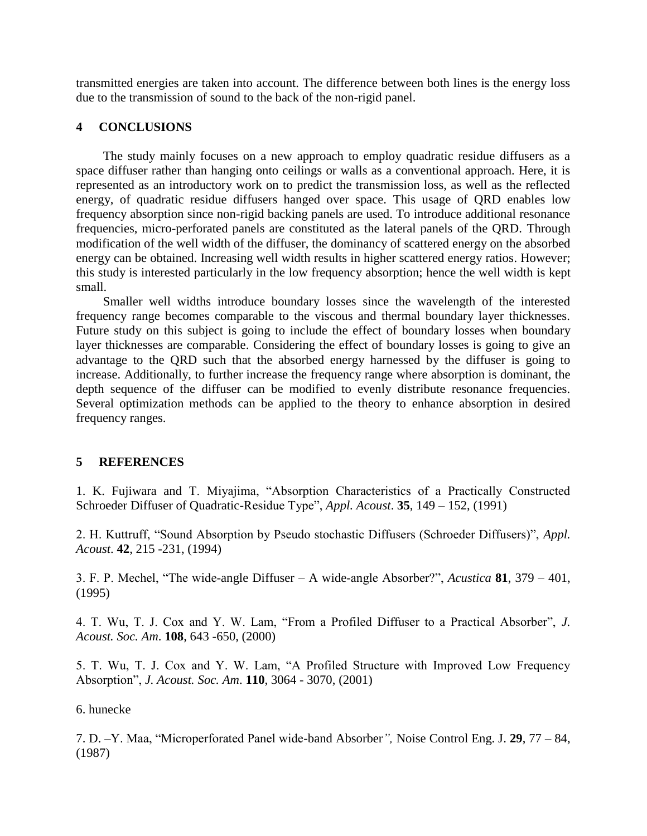transmitted energies are taken into account. The difference between both lines is the energy loss due to the transmission of sound to the back of the non-rigid panel.

### **4 CONCLUSIONS**

The study mainly focuses on a new approach to employ quadratic residue diffusers as a space diffuser rather than hanging onto ceilings or walls as a conventional approach. Here, it is represented as an introductory work on to predict the transmission loss, as well as the reflected energy, of quadratic residue diffusers hanged over space. This usage of QRD enables low frequency absorption since non-rigid backing panels are used. To introduce additional resonance frequencies, micro-perforated panels are constituted as the lateral panels of the QRD. Through modification of the well width of the diffuser, the dominancy of scattered energy on the absorbed energy can be obtained. Increasing well width results in higher scattered energy ratios. However; this study is interested particularly in the low frequency absorption; hence the well width is kept small.

Smaller well widths introduce boundary losses since the wavelength of the interested frequency range becomes comparable to the viscous and thermal boundary layer thicknesses. Future study on this subject is going to include the effect of boundary losses when boundary layer thicknesses are comparable. Considering the effect of boundary losses is going to give an advantage to the QRD such that the absorbed energy harnessed by the diffuser is going to increase. Additionally, to further increase the frequency range where absorption is dominant, the depth sequence of the diffuser can be modified to evenly distribute resonance frequencies. Several optimization methods can be applied to the theory to enhance absorption in desired frequency ranges.

# **5 REFERENCES**

1. K. Fujiwara and T. Miyajima, "Absorption Characteristics of a Practically Constructed Schroeder Diffuser of Quadratic-Residue Type", *Appl. Acoust*. **35**, 149 – 152, (1991)

2. H. Kuttruff, "Sound Absorption by Pseudo stochastic Diffusers (Schroeder Diffusers)", *Appl. Acoust*. **42**, 215 -231, (1994)

3. F. P. Mechel, "The wide-angle Diffuser – A wide-angle Absorber?", *Acustica* **81**, 379 – 401, (1995)

4. T. Wu, T. J. Cox and Y. W. Lam, "From a Profiled Diffuser to a Practical Absorber", *J. Acoust. Soc. Am*. **108**, 643 -650, (2000)

5. T. Wu, T. J. Cox and Y. W. Lam, "A Profiled Structure with Improved Low Frequency Absorption", *J. Acoust. Soc. Am*. **110**, 3064 - 3070, (2001)

### 6. hunecke

7. D. –Y. Maa, "Microperforated Panel wide-band Absorber*",* Noise Control Eng. J. **29**, 77 – 84, (1987)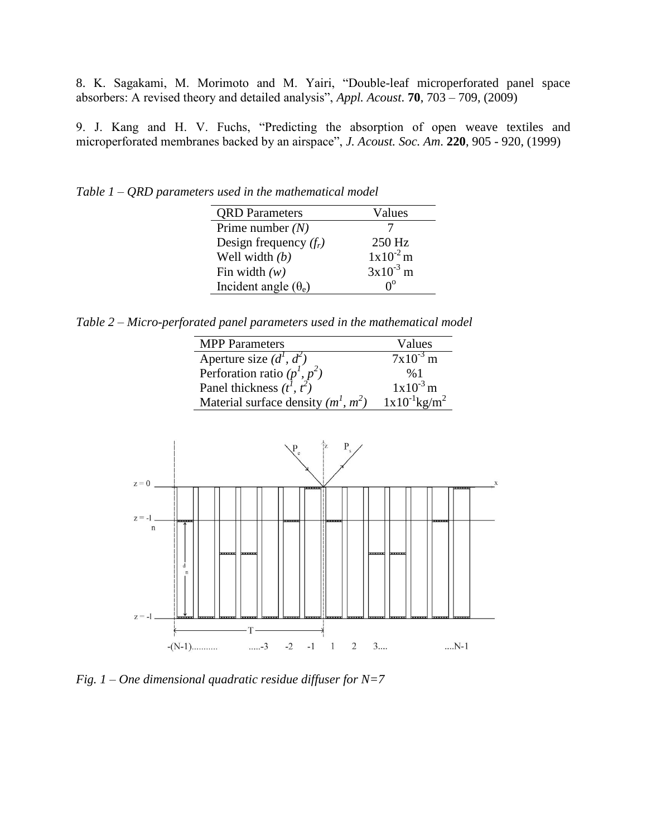8. K. Sagakami, M. Morimoto and M. Yairi, "Double-leaf microperforated panel space absorbers: A revised theory and detailed analysis", *Appl. Acoust*. **70**, 703 – 709, (2009)

9. J. Kang and H. V. Fuchs, "Predicting the absorption of open weave textiles and microperforated membranes backed by an airspace", *J. Acoust. Soc. Am*. **220**, 905 - 920, (1999)

*Table 1 – QRD parameters used in the mathematical model* 

| <b>QRD</b> Parameters       | Values           |
|-----------------------------|------------------|
| Prime number $(N)$          |                  |
| Design frequency $(f_r)$    | 250 Hz           |
| Well width $(b)$            | $1x10^{-2}$ m    |
| Fin width $(w)$             | $3x10^{-3}$ m    |
| Incident angle $(\theta_e)$ | $\Omega^{\rm o}$ |

*Table 2 – Micro-perforated panel parameters used in the mathematical model* 

| <b>MPP</b> Parameters                 | Values                        |
|---------------------------------------|-------------------------------|
| Aperture size $(d^1, d^2)$            | $7x10^{-3}$ m                 |
| Perforation ratio $(p^1, p^2)$        | %1                            |
| Panel thickness $(t^1, t^2)$          | $1x10^{-3}$ m                 |
| Material surface density $(m^1, m^2)$ | $1x10^{-1}$ kg/m <sup>2</sup> |



*Fig. 1 – One dimensional quadratic residue diffuser for N=7*